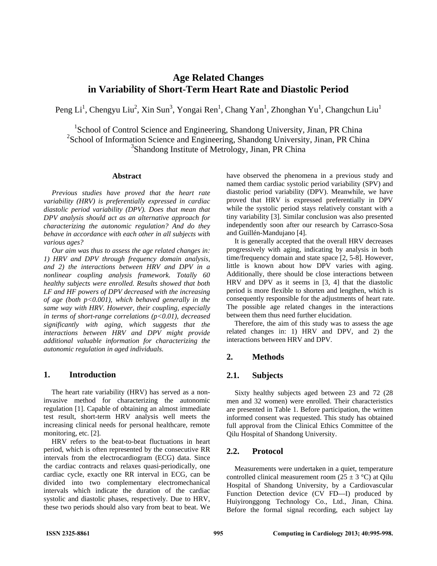# **Age Related Changes in Variability of Short-Term Heart Rate and Diastolic Period**

Peng Li<sup>1</sup>, Chengyu Liu<sup>2</sup>, Xin Sun<sup>3</sup>, Yongai Ren<sup>1</sup>, Chang Yan<sup>1</sup>, Zhonghan Yu<sup>1</sup>, Changchun Liu<sup>1</sup>

<sup>1</sup>School of Control Science and Engineering, Shandong University, Jinan, PR China <sup>2</sup>School of Information Science and Engineering, Shandong University, Jinan, PR China 3 Shandong Institute of Metrology, Jinan, PR China

## **Abstract**

*Previous studies have proved that the heart rate variability (HRV) is preferentially expressed in cardiac diastolic period variability (DPV). Does that mean that DPV analysis should act as an alternative approach for characterizing the autonomic regulation? And do they behave in accordance with each other in all subjects with various ages?* 

*Our aim was thus to assess the age related changes in: 1) HRV and DPV through frequency domain analysis, and 2) the interactions between HRV and DPV in a nonlinear coupling analysis framework. Totally 60 healthy subjects were enrolled. Results showed that both LF and HF powers of DPV decreased with the increasing of age (both p<0.001), which behaved generally in the same way with HRV. However, their coupling, especially in terms of short-range correlations (p<0.01), decreased significantly with aging, which suggests that the interactions between HRV and DPV might provide additional valuable information for characterizing the autonomic regulation in aged individuals.* 

## **1. Introduction**

The heart rate variability (HRV) has served as a noninvasive method for characterizing the autonomic regulation [1]. Capable of obtaining an almost immediate test result, short-term HRV analysis well meets the increasing clinical needs for personal healthcare, remote monitoring, etc. [2].

HRV refers to the beat-to-beat fluctuations in heart period, which is often represented by the consecutive RR intervals from the electrocardiogram (ECG) data. Since the cardiac contracts and relaxes quasi-periodically, one cardiac cycle, exactly one RR interval in ECG, can be divided into two complementary electromechanical intervals which indicate the duration of the cardiac systolic and diastolic phases, respectively. Due to HRV, these two periods should also vary from beat to beat. We

have observed the phenomena in a previous study and named them cardiac systolic period variability (SPV) and diastolic period variability (DPV). Meanwhile, we have proved that HRV is expressed preferentially in DPV while the systolic period stays relatively constant with a tiny variability [3]. Similar conclusion was also presented independently soon after our research by Carrasco-Sosa and Guillén-Mandujano [4].

It is generally accepted that the overall HRV decreases progressively with aging, indicating by analysis in both time/frequency domain and state space [2, 5-8]. However, little is known about how DPV varies with aging. Additionally, there should be close interactions between HRV and DPV as it seems in [3, 4] that the diastolic period is more flexible to shorten and lengthen, which is consequently responsible for the adjustments of heart rate. The possible age related changes in the interactions between them thus need further elucidation.

Therefore, the aim of this study was to assess the age related changes in: 1) HRV and DPV, and 2) the interactions between HRV and DPV.

# **2. Methods**

# **2.1. Subjects**

Sixty healthy subjects aged between 23 and 72 (28 men and 32 women) were enrolled. Their characteristics are presented in Table 1. Before participation, the written informed consent was requested. This study has obtained full approval from the Clinical Ethics Committee of the Qilu Hospital of Shandong University.

# **2.2. Protocol**

Measurements were undertaken in a quiet, temperature controlled clinical measurement room ( $25 \pm 3$  °C) at Oilu Hospital of Shandong University, by a Cardiovascular Function Detection device (CV FD—I) produced by Huiyironggong Technology Co., Ltd., Jinan, China. Before the formal signal recording, each subject lay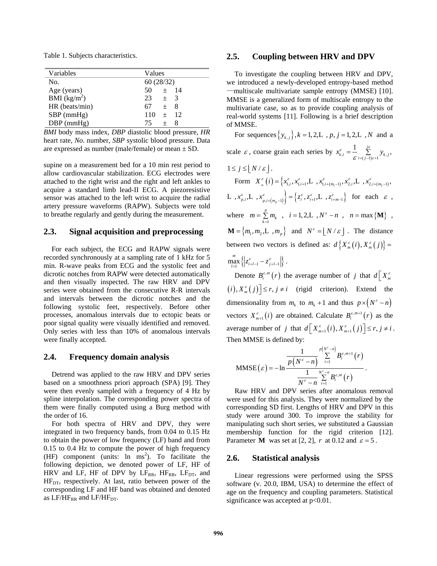Table 1. Subjects characteristics.

| Variables                                    | Values          |
|----------------------------------------------|-----------------|
| No.                                          | 60(28/32)       |
| Age (years)                                  | $+$ 14<br>50.   |
| $\overline{\text{BMI}}$ (kg/m <sup>2</sup> ) | 23<br>$+$ 3     |
| $HR$ (beats/min)                             | 67.<br>$\pm$ 8  |
| $SBP$ (mmHg)                                 | 110<br>$\pm$ 12 |
| $DBP$ (mmHg)                                 | 75.<br>$+$      |

*BMI* body mass index, *DBP* diastolic blood pressure, *HR* heart rate, *No*. number, *SBP* systolic blood pressure. Data are expressed as number (male/female) or mean ± SD.

supine on a measurement bed for a 10 min rest period to allow cardiovascular stabilization. ECG electrodes were attached to the right wrist and the right and left ankles to acquire a standard limb lead-II ECG. A piezoresistive sensor was attached to the left wrist to acquire the radial artery pressure waveforms (RAPW). Subjects were told to breathe regularly and gently during the measurement.

## **2.3. Signal acquisition and preprocessing**

For each subject, the ECG and RAPW signals were recorded synchronously at a sampling rate of 1 kHz for 5 min. R-wave peaks from ECG and the systolic feet and dicrotic notches from RAPW were detected automatically and then visually inspected. The raw HRV and DPV series were obtained from the consecutive R-R intervals and intervals between the dicrotic notches and the following systolic feet, respectively. Before other processes, anomalous intervals due to ectopic beats or poor signal quality were visually identified and removed. Only series with less than 10% of anomalous intervals were finally accepted.

#### **2.4. Frequency domain analysis**

Detrend was applied to the raw HRV and DPV series based on a smoothness priori approach (SPA) [9]. They were then evenly sampled with a frequency of 4 Hz by spline interpolation. The corresponding power spectra of them were finally computed using a Burg method with the order of 16.

For both spectra of HRV and DPV, they were integrated in two frequency bands, from 0.04 to 0.15 Hz to obtain the power of low frequency (LF) band and from 0.15 to 0.4 Hz to compute the power of high frequency  $(HF)$  component (units:  $\ln \text{ms}^2$ ). To facilitate the following depiction, we denoted power of LF, HF of HRV and LF, HF of DPV by  $LF_{RR}$ , HF<sub>RR</sub>, LF<sub>DT</sub>, and HF<sub>DT</sub>, respectively. At last, ratio between power of the corresponding LF and HF band was obtained and denoted as  $LF/HF_{RR}$  and  $LF/HF_{DT}$ .

## **2.5. Coupling between HRV and DPV**

To investigate the coupling between HRV and DPV, we introduced a newly-developed entropy-based method —multiscale multivariate sample entropy (MMSE) [10]. MMSE is a generalized form of multiscale entropy to the multivariate case, so as to provide coupling analysis of real-world systems [11]. Following is a brief description of MMSE.

For sequences  $\{y_{k,j}\}\$ ,  $k = 1, 2, L$ ,  $p, j = 1, 2, L$ ,  $N$  and a scale  $\varepsilon$ , coarse grain each series by  $x_{k,i}^{\varepsilon} = \frac{1}{\varepsilon} \sum_{i=(j-1)\varepsilon+1}^{j\varepsilon} y_{k,j}$ ,  $1 \leq j \leq |N / \varepsilon|.$  $\text{Form} \quad X_{_{m}}^{\varepsilon}\left(i\right) = \left\{x_{1,i}^{\varepsilon},x_{1,i+1}^{\varepsilon},L_{\ldots},x_{1,i+(m_{1}-1)}^{\varepsilon},x_{2,i}^{\varepsilon},L_{\ldots},x_{2,i+(m_{2}-1)}^{\varepsilon},\right.$  $\left\{ L \right., x_{p,i}^{\varepsilon}, L \right., x_{p,i+(m_n-1)}^{\varepsilon} \left\} = \left\{ z_i^{\varepsilon}, z_{i+1}^{\varepsilon}, L \right., z_{i+m-1}^{\varepsilon} \right\}$  for each  $\varepsilon$ , where  $m = \sum_{k=1}^{p}$  $m = \sum_{k=1}^{n} m_k$ ,  $i = 1, 2, L$ ,  $N^{\epsilon} - n$ ,  $n = \max \{M\}$ ,  $\mathbf{M} = \{m_1, m_2, L, m_p\}$  and  $N^{\epsilon} = \lfloor N/\epsilon \rfloor$ . The distance between two vectors is defined as:  $d\left\{X_{m}^{\varepsilon}(i), X_{m}^{\varepsilon}(j)\right\} =$  $\max_{l=1}^{m} \left\{ \left| z_{i+l-1}^{\varepsilon} - z_{j+l-1}^{\varepsilon} \right| \right\}$  $\max_{l=1} \{|z_{i+l-1}^{\varepsilon} - z_{j+l-1}^{\varepsilon}| \}$ .

Denote  $B_i^{\varepsilon,m}(r)$  the average number of *j* that  $d[X_m^{\varepsilon}]$  $(i), X_m^{\varepsilon}(j) \le r, j \ne i$  (rigid criterion). Extend the dimensionality from  $m_k$  to  $m_k + 1$  and thus  $p \times (N^{\epsilon} - n)$ vectors  $X_{m+1}^{\varepsilon}(i)$  are obtained. Calculate  $B_i^{\varepsilon,m+1}(r)$  as the average number of *j* that  $d\left[X_{m+1}^{\varepsilon}(i), X_{m+1}^{\varepsilon}(j)\right] \leq r, j \neq i$ . Then MMSE is defined by:

$$
\text{MMSE}(\varepsilon) = -\ln \frac{\frac{1}{P(N^{\varepsilon}-n)}\sum_{i=1}^{P(N^{\varepsilon}-n)} B_i^{\varepsilon,m+1}(r)}{\frac{1}{N^{\varepsilon}-n}\sum_{i=1}^{N^{\varepsilon}-n} B_i^{\varepsilon,m}(r)}.
$$

Raw HRV and DPV series after anomalous removal were used for this analysis. They were normalized by the corresponding SD first. Lengths of HRV and DPV in this study were around 300. To improve the stability for manipulating such short series, we substituted a Gaussian membership function for the rigid criterion [12]. Parameter **M** was set at [2, 2], *r* at 0.12 and  $\varepsilon = 5$ .

## **2.6. Statistical analysis**

Linear regressions were performed using the SPSS software (v. 20.0, IBM, USA) to determine the effect of age on the frequency and coupling parameters. Statistical significance was accepted at  $p<0.01$ .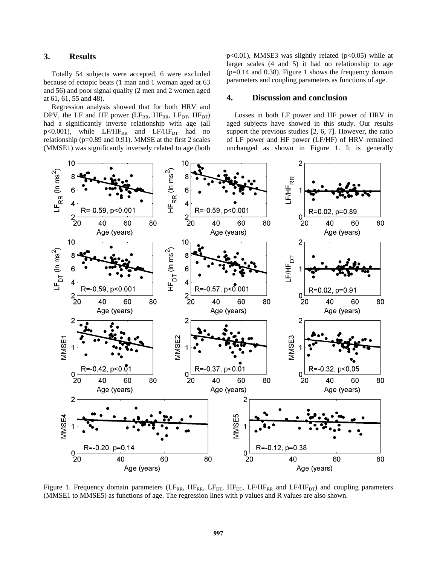# **3. Results**

Totally 54 subjects were accepted, 6 were excluded because of ectopic beats (1 man and 1 woman aged at 63 and 56) and poor signal quality (2 men and 2 women aged at 61, 61, 55 and 48).

Regression analysis showed that for both HRV and DPV, the LF and HF power ( $LF_{RR}$ ,  $HF_{RR}$ ,  $LF_{DT}$ ,  $HF_{DT}$ ) had a significantly inverse relationship with age (all  $p<0.001$ ), while  $LF/HF_{RR}$  and  $LF/HF_{DT}$  had no relationship (p=0.89 and 0.91). MMSE at the first 2 scales (MMSE1) was significantly inversely related to age (both

 $p<0.01$ ), MMSE3 was slightly related ( $p<0.05$ ) while at larger scales (4 and 5) it had no relationship to age (p=0.14 and 0.38). Figure 1 shows the frequency domain parameters and coupling parameters as functions of age.

#### **4. Discussion and conclusion**

Losses in both LF power and HF power of HRV in aged subjects have showed in this study. Our results support the previous studies [2, 6, 7]. However, the ratio of LF power and HF power (LF/HF) of HRV remained unchanged as shown in Figure 1. It is generally



Figure 1. Frequency domain parameters (LF<sub>RR</sub>, HF<sub>RR</sub>, LF<sub>DT</sub>, HF<sub>DT</sub>, LF/HF<sub>RR</sub> and LF/HF<sub>DT</sub>) and coupling parameters (MMSE1 to MMSE5) as functions of age. The regression lines with p values and R values are also shown.